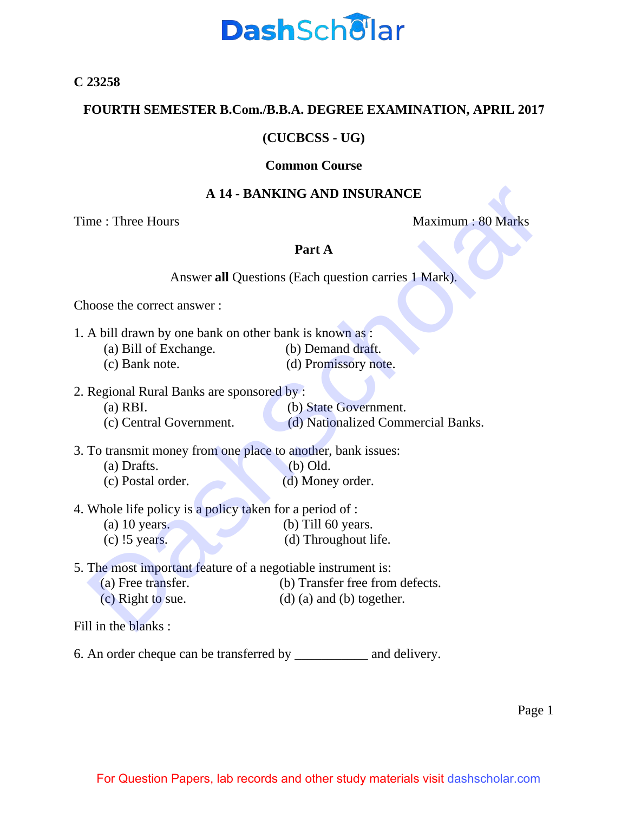

**C 23258** 

# **FOURTH SEMESTER B.Com./B.B.A. DEGREE EXAMINATION, APRIL 2017**

# **(CUCBCSS - UG)**

### **Common Course**

# **A 14 - BANKING AND INSURANCE**

Time : Three Hours Maximum : 80 Marks

## **Part A**

Answer **all** Questions (Each question carries 1 Mark).

Choose the correct answer :

- 1. A bill drawn by one bank on other bank is known as :
	- (a) Bill of Exchange. (b) Demand draft.
	- (c) Bank note. (d) Promissory note.
- 2. Regional Rural Banks are sponsored by :
- (a) RBI. (b) State Government. (c) Central Government. (d) Nationalized Commercial Banks. **A 14 - BANKING AND INSURANCE**<br>
me : Three Hours<br> **Part A**<br>
Answer all Questions (Each question carries 1 Mark),<br> **Part A**<br>
Answer all Questions (Each question carries 1 Mark),<br>
noose the correct answer :<br>
(a) Bill of Exc

- 
- 3. To transmit money from one place to another, bank issues:
	- (a) Drafts. (b) Old.
	- (c) Postal order. (d) Money order.
- 
- 4. Whole life policy is a policy taken for a period of :
	- (a) 10 years. (b) Till 60 years.
	- (c) !5 years. (d) Throughout life.
- 5. The most important feature of a negotiable instrument is:
	- (a) Free transfer. (b) Transfer free from defects.
	- (c) Right to sue.  $(d)$  (a) and (b) together.

Fill in the blanks :

6. An order cheque can be transferred by \_\_\_\_\_\_\_\_\_\_\_ and delivery.

Page 1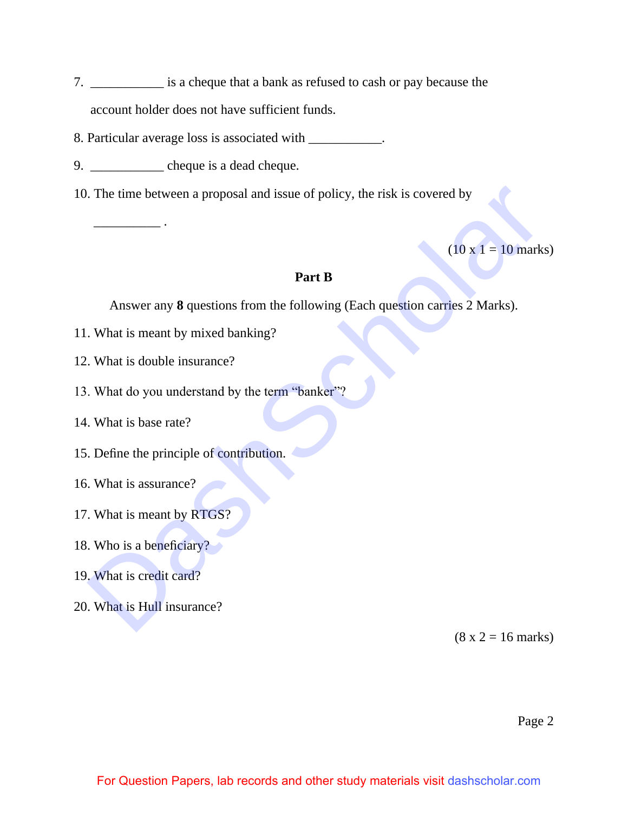- 7. \_\_\_\_\_\_\_\_\_\_\_ is a cheque that a bank as refused to cash or pay because the account holder does not have sufficient funds.
- 8. Particular average loss is associated with \_\_\_\_\_\_\_\_\_\_\_.
- 9. \_\_\_\_\_\_\_\_\_\_\_\_\_ cheque is a dead cheque.
- 10. The time between a proposal and issue of policy, the risk is covered by

## **Part B**

Answer any **8** questions from the following (Each question carries 2 Marks). 1. The time between a proposal and issue of policy, the risk is covered by<br> **Part B**<br>
Answer any **8** questions from the following (Each question carries 2 Marks).<br>
What is meant by mixed banking?<br>
2. What is double insura

- 11. What is meant by mixed banking?
- 12. What is double insurance?
- 13. What do you understand by the term "banker"?
- 14. What is base rate?

\_\_\_\_\_\_\_\_\_\_ .

- 15. Define the principle of contribution.
- 16. What is assurance?
- 17. What is meant by RTGS?
- 18. Who is a beneficiary?
- 19. What is credit card?
- 20. What is Hull insurance?

 $(8 \times 2 = 16 \text{ marks})$ 

 $(10 \times 1 = 10 \text{ marks})$ 

Page 2